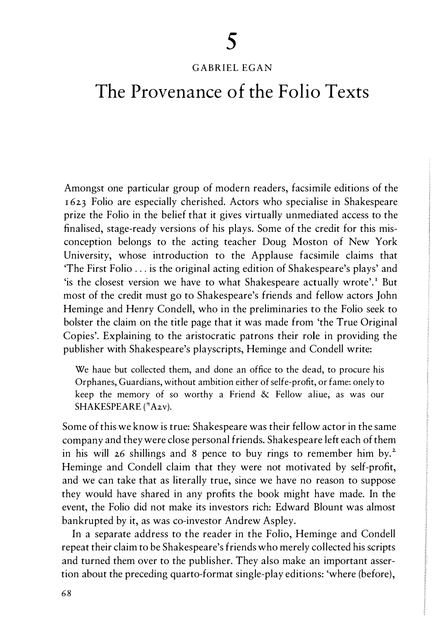# GABRIEL EGAN

# The Provenance of the Folio Texts

Amongst one particular group of modern readers, facsimile editions of the 1 623 Folio are especially cherished. Actors who specialise in Shakespeare prize the Folio in the belief that it gives virtually unmediated access to the finalised, stage-ready versions of his plays. Some of the credit for this misconception belongs to the acting teacher Doug Moston of New York University, whose introduction to the Applause facsimile claims that 'The First Folio ... is the original acting edition of Shakespeare's plays' and 'is the closest version we have to what Shakespeare actually wrote'.<sup>I</sup> But most of the credit must go to Shakespeare's friends and fellow actors John Heminge and Henry Condell, who in the preliminaries to the Folio seek to bolster the claim on the title page that it was made from 'the True Original Copies'. Explaining to the aristocratic patrons their role in providing the publisher with Shakespeare's playscripts, Heminge and Condell write:

We haue but collected them, and done an office to the dead, to procure his Orphanes, Guardians, without ambition either of selfe-profit, or fame: onely to keep the memory of so worthy a Friend & Fellow aliue, as was our SHAKESPEARE ( $^n$ A2v).

Some of this we know is true: Shakespeare was their fellow actor in the same company and they were close personal friends. Shakespeare left each of them in his will  $26$  shillings and 8 pence to buy rings to remember him by.<sup>2</sup> Heminge and Condell claim that they were not motivated by self-profit, and we can take that as literally true, since we have no reason to suppose they would have shared in any profits the book might have made. In the event, the Folio did not make its investors rich: Edward Blount was almost bankrupted by it, as was co-investor Andrew Aspley.

In a separate address to the reader in the Folio, Heminge and Condell repeat their claim to be Shakespeare's friends who merely collected his scripts and turned them over to the publisher. They also make an important assertion about the preceding quarto-format single-play editions: 'where (before),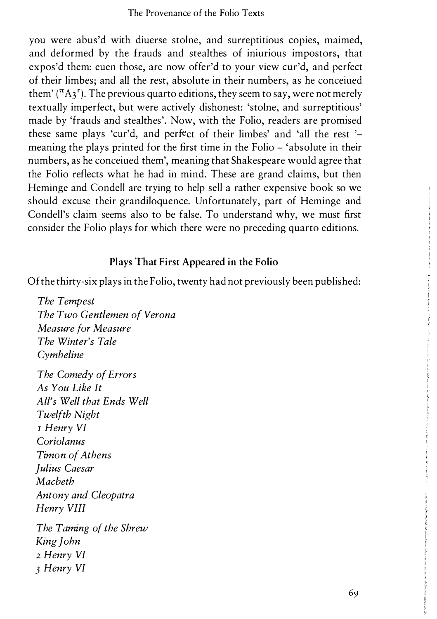you were abus'd with diuerse stolne, and surreptitious copies, maimed, and deformed by the frauds and stealthes of iniurious impostors, that expos'd them: euen those, are now offer'd to your view cur'd, and perfect of their limbes; and all the rest, absolute in their numbers, as he conceiued them'  $({}^{\pi}A_{3}^{r})$ . The previous quarto editions, they seem to say, were not merely textually imperfect, but were actively dishonest: 'stolne, and surreptitious' made by 'frauds and stealthes'. Now, with the Folio, readers are promised these same plays 'cur'd, and perfect of their limbes' and 'all the rest ' meaning the plays printed for the first time in the Folio - 'absolute in their numbers, as he conceiued them', meaning that Shakespeare would agree that the Folio reflects what he had in mind. These are grand claims, but then Heminge and Condell are trying to help sell a rather expensive book so we should excuse their grandiloquence. Unfortunately, part of Heminge and Condell's claim seems also to be false. To understand why, we must first consider the Folio plays for which there were no preceding quarto editions.

## Plays That First Appeared in the Folio

Of the thirty-six plays in the Folio, twenty had not previously been published:

The Tempest The Two Gentlemen of Verona Measure for Measure The Winter's Tale Cymbeline The Comedy of Errors As You Like It All's Well that Ends Well Twelfth Night I Henry VI Coriolanus Timon of Athens Julius Caesar Macbeth Antony and Cleopatra Henry VIII The Taming of the Shrew King John 2 Henry VI 3 Henry VI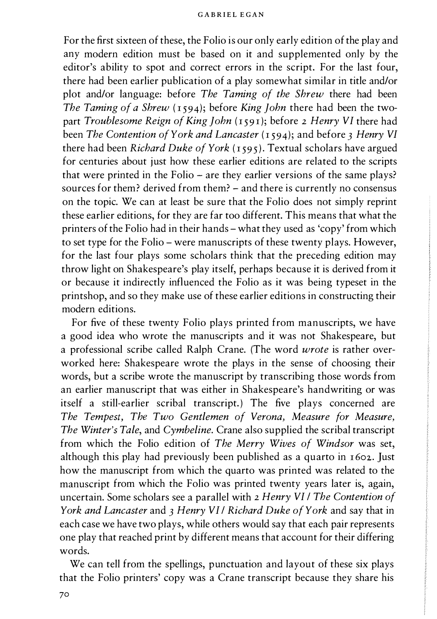For the first sixteen of these, the Folio is our only early edition of the play and any modern edition must be based on it and supplemented only by the editor's ability to spot and correct errors in the script. For the last four, there had been earlier publication of a play somewhat similar in title and/or plot and/or language: before *The Taming of the Shrew* there had been The Taming of a Shrew  $(1594)$ ; before King John there had been the twopart Troublesome Reign of King John (1591); before 2 Henry VI there had been The Contention of York and Lancaster  $(1594)$ ; and before 3 Henry VI there had been Richard Duke of York (1595). Textual scholars have argued for centuries about just how these earlier editions are related to the scripts that were printed in the Folio - are they earlier versions of the same plays? sources for them? derived from them? – and there is currently no consensus on the topic. We can at least be sure that the Folio does not simply reprint these earlier editions, for they are far too different. This means that what the printers of the Folio had in their hands - what they used as 'copy' from which to set type for the Folio - were manuscripts of these twenty plays. However, for the last four plays some scholars think that the preceding edition may throw light on Shakespeare's play itself, perhaps because it is derived from it or because it indirectly influenced the Folio as it was being typeset in the printshop, and so they make use of these earlier editions in constructing their modern editions.

For five of these twenty Folio plays printed from manuscripts, we have a good idea who wrote the manuscripts and it was not Shakespeare, but a professional scribe called Ralph Crane. (The word wrote is rather overworked here: Shakespeare wrote the plays in the sense of choosing their words, but a scribe wrote the manuscript by transcribing those words from an earlier manuscript that was either in Shakespeare's handwriting or was itself a still-earlier scribal transcript.) The five plays concerned are The Tempest, The Two Gentlemen of Verona, Measure for Measure, The Winter's Tale, and Cymbeline. Crane also supplied the scribal transcript from which the Folio edition of The Merry Wives of Windsor was set, although this play had previously been published as a quarto in 1 602. Just how the manuscript from which the quarto was printed was related to the manuscript from which the Folio was printed twenty years later is, again, uncertain. Some scholars see a parallel with 2 Henry VI I The Contention of York and Lancaster and 3 Henry VII Richard Duke of York and say that in each case we have two plays, while others would say that each pair represents one play that reached print by different means that account for their differing words.

We can tell from the spellings, punctuation and layout of these six plays that the Folio printers' copy was a Crane transcript because they share his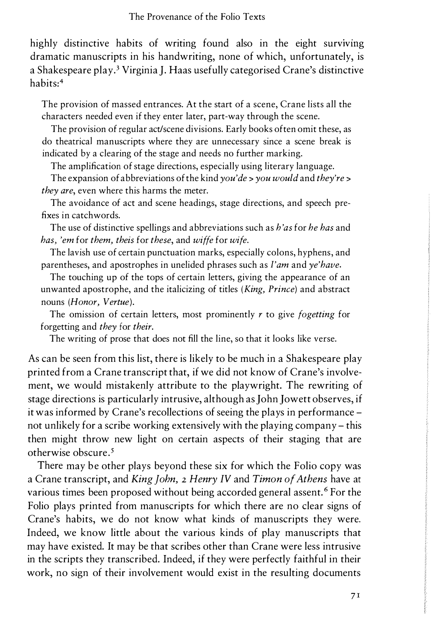highly distinctive habits of writing found also in the eight surviving dramatic manuscripts in his handwriting, none of which, unfortunately, is a Shakespeare play.3 Virginia ]. Haas usefully categorised Crane's distinctive habits:4

The provision of massed entrances. At the start of a scene, Crane lists all the characters needed even if they enter later, part-way through the scene.

The provision of regular act/scene divisions. Early books often omit these, as do theatrical manuscripts where they are unnecessary since a scene break is indicated by a clearing of the stage and needs no further marking.

The amplification of stage directions, especially using literary language.

The expansion of abbreviations of the kind you'de  $\rightarrow$  you would and they're  $\rightarrow$ they are, even where this harms the meter.

The avoidance of act and scene headings, stage directions, and speech prefixes in catchwords.

The use of distinctive spellings and abbreviations such as h'as for he has and has, 'em for them, theis for these, and wiffe for wife.

The lavish use of certain punctuation marks, especially colons, hyphens, and parentheses, and apostrophes in unelided phrases such as I'am and ye'have.

The touching up of the tops of certain letters, giving the appearance of an unwanted apostrophe, and the italicizing of titles (King, Prince) and abstract nouns (Honor, Vertue).

The omission of certain letters, most prominently  $r$  to give *fogetting* for forgetting and they for their.

The writing of prose that does not fill the line, so that it looks like verse.

As can be seen from this list, there is likely to be much in a Shakespeare play printed from a Crane transcript that, if we did not know of Crane's involvement, we would mistakenly attribute to the playwright. The rewriting of stage directions is particularly intrusive, although as John Jowett observes, if it was informed by Crane's recollections of seeing the plays in performance not unlikely for a scribe working extensively with the playing company - this then might throw new light on certain aspects of their staging that are otherwise obscure.5

There may be other plays beyond these six for which the Folio copy was a Crane transcript, and King John, 2 Henry IV and Timon of Athens have at various times been proposed without being accorded general assent.<sup>6</sup> For the Folio plays printed from manuscripts for which there are no clear signs of Crane's habits, we do not know what kinds of manuscripts they were. Indeed, we know little about the various kinds of play manuscripts that may have existed. It may be that scribes other than Crane were less intrusive in the scripts they transcribed. Indeed, if they were perfectly faithful in their work, no sign of their involvement would exist in the resulting documents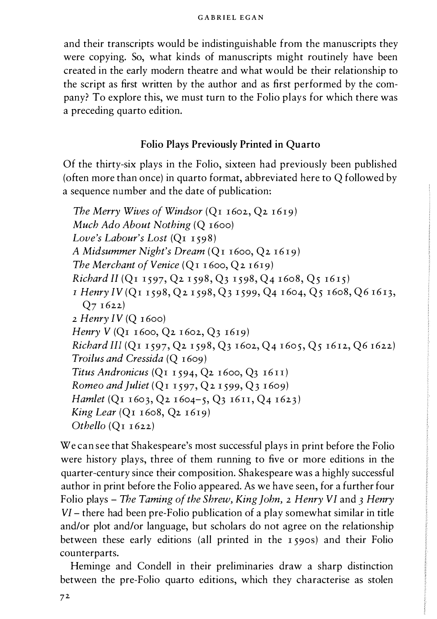and their transcripts would be indistinguishable from the manuscripts they were copying. So, what kinds of manuscripts might routinely have been created in the early modern theatre and what would be their relationship to the script as first written by the author and as first performed by the company? To explore this, we must turn to the Folio plays for which there was a preceding quarto edition.

## Folio Plays Previously Printed in Quarto

Of the thirty-six plays in the Folio, sixteen had previously been published (often more than once) in quarto format, abbreviated here to Q followed by a sequence number and the date of publication:

The Merry Wives of Windsor  $(Q_1 1602, Q_2 1619)$ Much Ado About Nothing (Q 1600) Love's Labour's Lost (Q1 1598) A Midsummer Night's Dream (Qr I6oo, Q2 I6I9) The Merchant of Venice  $(QI 1600, Q2 1619)$ Richard II (Q1 1597, Q2 1598, Q3 1598, Q4 1608, Q5 1615) 1 Henry IV (Qr r 598, Q2 1 598, Q3 1 599, Q4 r 604, Q5 I 6o8, Q6 I613,  $Q7 1622$  $2$  Henry IV (Q 1600) Henry  $V$  (Q<sub>1</sub> 1600, Q<sub>2</sub> 1602, Q<sub>3</sub> 1619) Richard III (Q1 1 597, Q2 r 598, Q3 I 602, Q4 I 605, Q5 r612, Q6 r622) Troilus and Cressida (Q 1609) Titus Andronicus (Q1 1594, Q2 1600, Q3 1611) Romeo and Juliet ( $QI$  1597,  $Q2$  1599,  $Q3$  1609) Hamlet (Q1 1603, Q2 1604-5, Q3 1611, Q4 1623)  $King$  Lear ( $QI$  1608,  $Q2$  1619) Othello  $(QI_1622)$ 

We can see that Shakespeare's most successful plays in print before the Folio were history plays, three of them running to five or more editions in the quarter-century since their composition. Shakespeare was a highly successful author in print before the Folio appeared. As we have seen, for a further four Folio plays – The Taming of the Shrew, King John, 2 Henry VI and 3 Henry VI - there had been pre-Folio publication of a play somewhat similar in title and/or plot and/or language, but scholars do not agree on the relationship between these early editions (all printed in the 1 59os) and their Folio counterparts.

Heminge and Condell in their preliminaries draw a sharp distinction between the pre-Folio quarto editions, which they characterise as stolen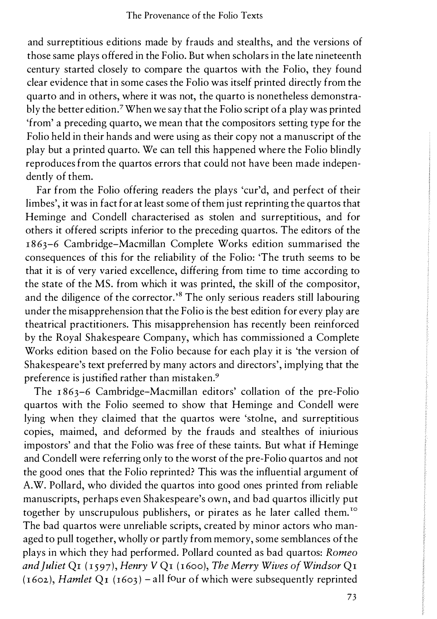and surreptitious editions made by frauds and stealths, and the versions of those same plays offered in the Folio. But when scholars in the late nineteenth century started closely to compare the quartos with the Folio, they found clear evidence that in some cases the Folio was itself printed directly from the quarto and in others, where it was not, the quarto is nonetheless demonstrably the better edition.7 When we say that the Folio script of a play was printed 'from' a preceding quarto, we mean that the compositors setting type for the Folio held in their hands and were using as their copy not a manuscript of the play but a printed quarto. We can tell this happened where the Folio blindly reproduces from the quartos errors that could not have been made independently of them.

Far from the Folio offering readers the plays 'cur'd, and perfect of their limbes', it was in fact for at least some of them just reprinting the quartos that Heminge and Condell characterised as stolen and surreptitious, and for others it offered scripts inferior to the preceding quartos. The editors of the 1863-6 Cambridge-Macmillan Complete Works edition summarised the consequences of this for the reliability of the Folio: 'The truth seems to be that it is of very varied excellence, differing from time to time according to the state of the MS. from which it was printed, the skill of the compositor, and the diligence of the corrector.'8 The only serious readers still labouring under the misapprehension that the Folio is the best edition for every play are theatrical practitioners. This misapprehension has recently been reinforced by the Royal Shakespeare Company, which has commissioned a Complete Works edition based on the Folio because for each play it is 'the version of Shakespeare's text preferred by many actors and directors', implying that the preference is justified rather than mistaken.<sup>9</sup>

The 1863-6 Cambridge-Macmillan editors' collation of the pre-Folio quartos with the Folio seemed to show that Heminge and Condell were lying when they claimed that the quartos were 'stolne, and surreptitious copies, maimed, and deformed by the frauds and stealthes of iniurious impostors' and that the Folio was free of these taints. But what if Heminge and Condell were referring only to the worst of the pre-Folio quartos and not the good ones that the Folio reprinted? This was the influential argument of A.W. Pollard, who divided the quartos into good ones printed from reliable manuscripts, perhaps even Shakespeare's own, and bad quartos illicitly put together by unscrupulous publishers, or pirates as he later called them.<sup>10</sup> The bad quartos were unreliable scripts, created by minor actors who managed to pull together, wholly or partly from memory, some semblances of the plays in which they had performed. Pollard counted as bad quartos: Romeo and Juliet Q1 (1597), Henry V Q1 (1600), The Merry Wives of Windsor Q1  $(1602)$ , Hamlet Q<sub>I</sub> ( $1603$ ) – all four of which were subsequently reprinted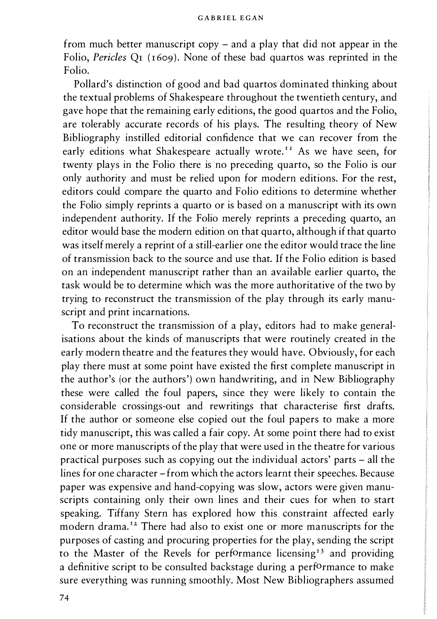from much better manuscript copy - and a play that did not appear in the Folio, Pericles Qr (1609). None of these bad quartos was reprinted in the Folio.

Pollard's distinction of good and bad quartos dominated thinking about the textual problems of Shakespeare throughout the twentieth century, and gave hope that the remaining early editions, the good quartos and the Folio, are tolerably accurate records of his plays. The resulting theory of New Bibliography instilled editorial confidence that we can recover from the early editions what Shakespeare actually wrote.<sup>11</sup> As we have seen, for twenty plays in the Folio there is no preceding quarto, so the Folio is our only authority and must be relied upon for modern editions. For the rest, editors could compare the quarto and Folio editions to determine whether the Folio simply reprints a quarto or is based on a manuscript with its own independent authority. If the Folio merely reprints a preceding quarto, an editor would base the modern edition on that quarto, although if that quarto was itself merely a reprint of a still-earlier one the editor would trace the line of transmission back to the source and use that. If the Folio edition is based on an independent manuscript rather than an available earlier quarto, the task would be to determine which was the more authoritative of the two by trying to reconstruct the transmission of the play through its early manuscript and print incarnations.

To reconstruct the transmission of a play, editors had to make generalisations about the kinds of manuscripts that were routinely created in the early modern theatre and the features they would have. Obviously, for each play there must at some point have existed the first complete manuscript in the author's (or the authors') own handwriting, and in New Bibliography these were called the foul papers, since they were likely to contain the considerable crossings-out and rewritings that characterise first drafts. If the author or someone else copied out the foul papers to make a more tidy manuscript, this was called a fair copy. At some point there had to exist one or more manuscripts of the play that were used in the theatre for various practical purposes such as copying out the individual actors' parts - all the lines for one character -from which the actors learnt their speeches. Because paper was expensive and hand-copying was slow, actors were given manuscripts containing only their own lines and their cues for when to start speaking. Tiffany Stern has explored how this constraint affected early modern drama.<sup>12</sup> There had also to exist one or more manuscripts for the purposes of casting and procuring properties for the play, sending the script to the Master of the Revels for performance licensing<sup>13</sup> and providing a definitive script to be consulted backstage during a performance to make sure everything was running smoothly. Most New Bibliographers assumed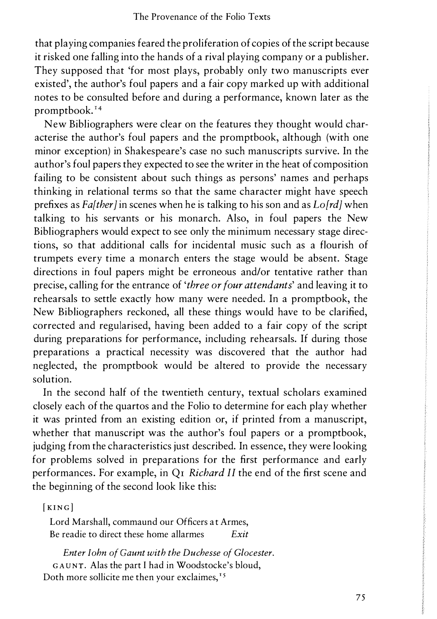that playing companies feared the proliferation of copies of the script because it risked one falling into the hands of a rival playing company or a publisher. They supposed that 'for most plays, probably only two manuscripts ever existed', the author's foul papers and a fair copy marked up with additional notes to be consulted before and during a performance, known later as the promptbook.<sup>14</sup>

New Bibliographers were clear on the features they thought would characterise the author's foul papers and the promptbook, although (with one minor exception) in Shakespeare's case no such manuscripts survive. In the author's foul papers they expected to see the writer in the heat of composition failing to be consistent about such things as persons' names and perhaps thinking in relational terms so that the same character might have speech prefixes as *Fa[ther]* in scenes when he is talking to his son and as  $L \cdot \left[ \frac{rd}{w} \right]$  when talking to his servants or his monarch. Also, in foul papers the New Bibliographers would expect to see only the minimum necessary stage directions, so that additional calls for incidental music such as a flourish of trumpets every time a monarch enters the stage would be absent. Stage directions in foul papers might be erroneous and/or tentative rather than precise, calling for the entrance of 'three or four attendants' and leaving it to rehearsals to settle exactly how many were needed. In a promptbook, the New Bibliographers reckoned, all these things would have to be clarified, corrected and regularised, having been added to a fair copy of the script during preparations for performance, including rehearsals. If during those preparations a practical necessity was discovered that the author had neglected, the promptbook would be altered to provide the necessary solution.

In the second half of the twentieth century, textual scholars examined closely each of the quartos and the Folio to determine for each play whether it was printed from an existing edition or, if printed from a manuscript, whether that manuscript was the author's foul papers or a promptbook, judging from the characteristics just described. In essence, they were looking for problems solved in preparations for the first performance and early performances. For example, in Qr Richard II the end of the first scene and the beginning of the second look like this:

[KING]

Lord Marshall, commaund our Officers at Armes, Be readie to direct these home allarmes Exit

Enter John of Gaunt with the Duchesse of Glocester. GAUNT. Alas the part I had in Woodstocke's bloud, Doth more sollicite me then your exclaimes,<sup>15</sup>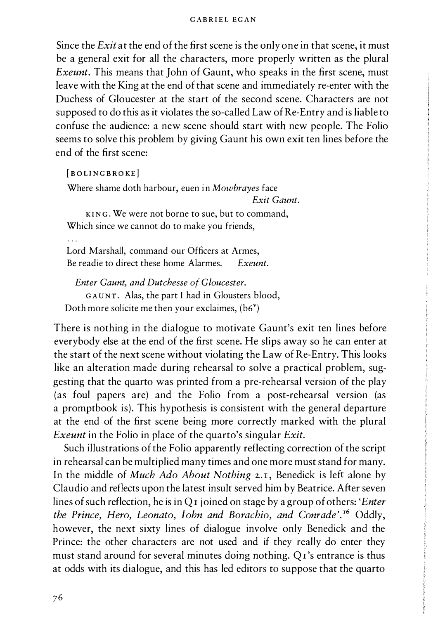Since the Exit at the end of the first scene is the only one in that scene, it must be a general exit for all the characters, more properly written as the plural Exeunt. This means that John of Gaunt, who speaks in the first scene, must leave with the King at the end of that scene and immediately re-enter with the Duchess of Gloucester at the start of the second scene. Characters are not supposed to do this as it violates the so-called Law of Re-Entry and is liable to confuse the audience: a new scene should start with new people. The Folio seems to solve this problem by giving Gaunt his own exit ten lines before the end of the first scene:

[BOLINGBROKE]

Where shame doth harbour, euen in Mowbrayes face Exit Gaunt.

KING. We were not borne to sue, but to command, Which since we cannot do to make you friends,

 $\ddotsc$ 

Lord Marshall, command our Officers at Armes, Be readie to direct these home Alarmes Freunt

Enter Gaunt, and Dutchesse of Gloucester. GAUNT. Alas, the part I had in Glousters blood, Doth more solicite me then your exclaimes,  $(b6^{\nu})$ 

There is nothing in the dialogue to motivate Gaunt's exit ten lines before everybody else at the end of the first scene. He slips away so he can enter at the start of the next scene without violating the Law of Re-Entry. This looks like an alteration made during rehearsal to solve a practical problem, suggesting that the quarto was printed from a pre-rehearsal version of the play (as foul papers are) and the Folio from a post-rehearsal version (as a promptbook is). This hypothesis is consistent with the general departure at the end of the first scene being more correctly marked with the plural Exeunt in the Folio in place of the quarto's singular Exit.

Such illustrations of the Folio apparently reflecting correction of the script in rehearsal can be multiplied many times and one more must stand for many. In the middle of *Much Ado About Nothing* 2.1, Benedick is left alone by Claudio and reflects upon the latest insult served him by Beatrice. After seven lines of such reflection, he is in Q<sub>I</sub> joined on stage by a group of others: '*Enter* the Prince, Hero, Leonato, John and Borachio, and Conrade'. 16 Oddly, however, the next sixty lines of dialogue involve only Benedick and the Prince: the other characters are not used and if they really do enter they must stand around for several minutes doing nothing. Qr's entrance is thus at odds with its dialogue, and this has led editors to suppose that the quarto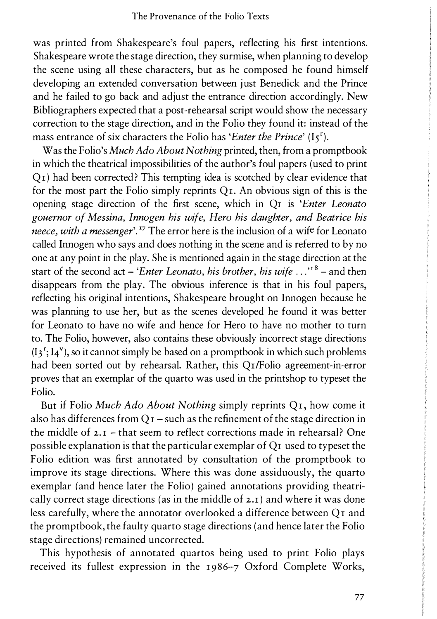was printed from Shakespeare's foul papers, reflecting his first intentions. Shakespeare wrote the stage direction, they surmise, when planning to develop the scene using all these characters, but as he composed he found himself developing an extended conversation between just Benedick and the Prince and he failed to go back and adjust the entrance direction accordingly. New Bibliographers expected that a post-rehearsal script would show the necessary correction to the stage direction, and in the Folio they found it: instead of the mass entrance of six characters the Folio has 'Enter the Prince'  $(I_5^r)$ .

Was the Folio's Much Ado About Nothing printed, then, from a promptbook in which the theatrical impossibilities of the author's foul papers (used to print Qr) had been corrected? This tempting idea is scotched by clear evidence that for the most part the Folio simply reprints  $Q<sub>I</sub>$ . An obvious sign of this is the opening stage direction of the first scene, which in Qr is 'Enter Leonato gouernor of Messina, Innogen his wife, Hero his daughter, and Beatrice his neece, with a messenger'.<sup>17</sup> The error here is the inclusion of a wife for Leonato called Innogen who says and does nothing in the scene and is referred to by no one at any point in the play. She is mentioned again in the stage direction at the start of the second act – 'Enter Leonato, his brother, his wife  $\ldots$ <sup>18</sup> – and then disappears from the play. The obvious inference is that in his foul papers, reflecting his original intentions, Shakespeare brought on Innogen because he was planning to use her, but as the scenes developed he found it was better for Leonato to have no wife and hence for Hero to have no mother to turn to. The Folio, however, also contains these obviously incorrect stage directions  $(I_3^r; I_4^v)$ , so it cannot simply be based on a promptbook in which such problems had been sorted out by rehearsal. Rather, this Qr/Folio agreement-in-error proves that an exemplar of the quarto was used in the printshop to typeset the Folio.

But if Folio Much Ado About Nothing simply reprints Qr, how come it also has differences from  $QI$  – such as the refinement of the stage direction in the middle of  $2.7$  – that seem to reflect corrections made in rehearsal? One possible explanation is that the particular exemplar of Qr used to typeset the Folio edition was first annotated by consultation of the promptbook to improve its stage directions. Where this was done assiduously, the quarto exemplar (and hence later the Folio) gained annotations providing theatrically correct stage directions (as in the middle of 2.r ) and where it was done less carefully, where the annotator overlooked a difference between Qr and the promptbook, the faulty quarto stage directions (and hence later the Folio stage directions) remained uncorrected.

This hypothesis of annotated quartos being used to print Folio plays received its fullest expression in the r986-7 Oxford Complete Works,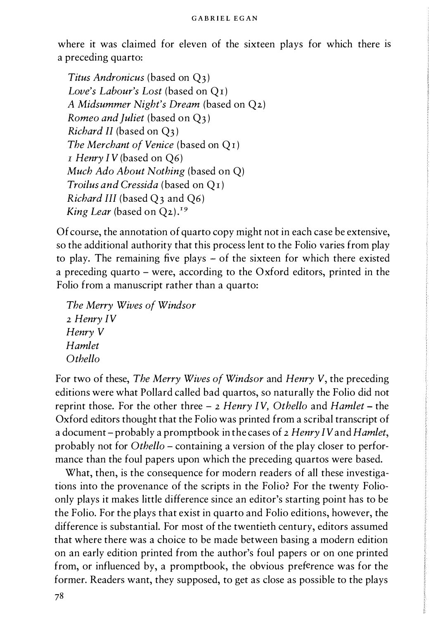#### GAB RIEL EGAN

where it was claimed for eleven of the sixteen plays for which there is a preceding quarto:

Titus Andronicus (based on Q3) Love's Labour's Lost (based on Qr) A Midsummer Night's Dream (based on Q2) Romeo and Juliet (based on  $Q_3$ ) Richard II (based on Q3 ) The Merchant of Venice (based on O<sub>I</sub>)  $I$  Henry IV (based on Q6) Much Ado About Nothing (based on Q) Troilus and Cressida (based on Q<sub>I</sub>) Richard III (based  $Q_3$  and  $Q_6$ ) King Lear (based on  $Q_2$ ).<sup>19</sup>

Of course, the annotation of quarto copy might not in each case be extensive, so the additional authority that this process lent to the Folio varies from play to play. The remaining five plays - of the sixteen for which there existed a preceding quarto – were, according to the Oxford editors, printed in the Folio from a manuscript rather than a quarto:

```
The Merry Wives of Windsor 
2 Henry IV
Henry V 
Hamlet 
Othello
```
For two of these, The Merry Wives of Windsor and Henry V, the preceding editions were what Pollard called bad quartos, so naturally the Folio did not reprint those. For the other three  $-$  2 Henry IV, Othello and Hamlet – the Oxford editors thought that the Folio was printed from a scribal transcript of a document – probably a promptbook in the cases of 2 Henry IV and Hamlet, probably not for Othello - containing a version of the play closer to performance than the foul papers upon which the preceding quartos were based.

What, then, is the consequence for modern readers of all these investigations into the provenance of the scripts in the Folio? For the twenty Folioonly plays it makes little difference since an editor's starting point has to be the Folio. For the plays that exist in quarto and Folio editions, however, the difference is substantial. For most of the twentieth century, editors assumed that where there was a choice to be made between basing a modern edition on an early edition printed from the author's foul papers or on one printed from, or influenced by, a promptbook, the obvious preference was for the former. Readers want, they supposed, to get as close as possible to the plays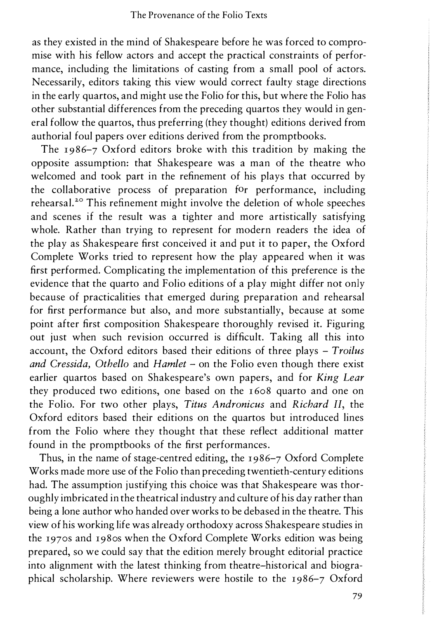as they existed in the mind of Shakespeare before he was forced to compromise with his fellow actors and accept the practical constraints of performance, including the limitations of casting from a small pool of actors. Necessarily, editors taking this view would correct faulty stage directions in the early quartos, and might use the Folio for this, but where the Folio has other substantial differences from the preceding quartos they would in general follow the quartos, thus preferring (they thought) editions derived from authorial foul papers over editions derived from the promptbooks.

The 1986-7 Oxford editors broke with this tradition by making the opposite assumption: that Shakespeare was a man of the theatre who welcomed and took part in the refinement of his plays that occurred by the collaborative process of preparation for performance, including rehearsal.<sup>20</sup> This refinement might involve the deletion of whole speeches and scenes if the result was a tighter and more artistically satisfying whole. Rather than trying to represent for modern readers the idea of the play as Shakespeare first conceived it and put it to paper, the Oxford Complete Works tried to represent how the play appeared when it was first performed. Complicating the implementation of this preference is the evidence that the quarto and Folio editions of a play might differ not only because of practicalities that emerged during preparation and rehearsal for first performance but also, and more substantially, because at some point after first composition Shakespeare thoroughly revised it. Figuring out just when such revision occurred is difficult. Taking all this into account, the Oxford editors based their editions of three plays  $-$  Troilus and Cressida, Othello and Hamlet  $-$  on the Folio even though there exist earlier quartos based on Shakespeare's own papers, and for King Lear they produced two editions, one based on the 1 608 quarto and one on the Folio. For two other plays, Titus Andronicus and Richard II, the Oxford editors based their editions on the quartos but introduced lines from the Folio where they thought that these reflect additional matter found in the promptbooks of the first performances.

Thus, in the name of stage-centred editing, the 1986-7 Oxford Complete Works made more use of the Folio than preceding twentieth-century editions had. The assumption justifying this choice was that Shakespeare was thoroughly imbricated in the theatrical industry and culture of his day rather than being a lone author who handed over works to be debased in the theatre. This view of his working life was already orthodoxy across Shakespeare studies in the 1970s and 1980s when the Oxford Complete Works edition was being prepared, so we could say that the edition merely brought editorial practice into alignment with the latest thinking from theatre-historical and biographical scholarship. Where reviewers were hostile to the 1986-7 Oxford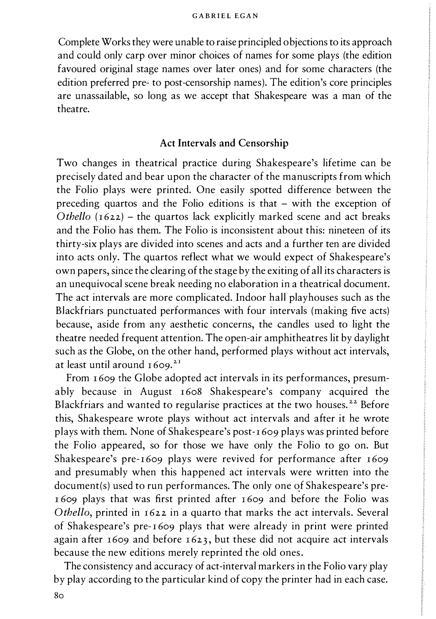Complete Works they were unable to raise principled objections to its approach and could only carp over minor choices of names for some plays (the edition favoured original stage names over later ones) and for some characters (the edition preferred pre- to post-censorship names). The edition's core principles are unassailable, so long as we accept that Shakespeare was a man of the theatre.

## Act Intervals and Censorship

Two changes in theatrical practice during Shakespeare's lifetime can be precisely dated and bear upon the character of the manuscripts from which the Folio plays were printed. One easily spotted difference between the preceding quartos and the Folio editions is that - with the exception of Othello  $(1622)$  – the quartos lack explicitly marked scene and act breaks and the Folio has them. The Folio is inconsistent about this: nineteen of its thirty-six plays are divided into scenes and acts and a further ten are divided into acts only. The quartos reflect what we would expect of Shakespeare's own papers, since the clearing of the stage by the exiting of all its characters is an unequivocal scene break needing no elaboration in a theatrical document. The act intervals are more complicated. Indoor hall playhouses such as the Blackfriars punctuated performances with four intervals (making five acts) because, aside from any aesthetic concerns, the candles used to light the theatre needed frequent attention. The open-air amphitheatres lit by daylight such as the Globe, on the other hand, performed plays without act intervals, at least until around  $1609$ .<sup>21</sup>

From 1609 the Globe adopted act intervals in its performances, presumably because in August 1608 Shakespeare's company acquired the Blackfriars and wanted to regularise practices at the two houses.<sup>22</sup> Before this, Shakespeare wrote plays without act intervals and after it he wrote plays with them. None of Shakespeare's post- 1 609 plays was printed before the Folio appeared, so for those we have only the Folio to go on. But Shakespeare's pre-1609 plays were revived for performance after 1609 and presumably when this happened act intervals were written into the document(s) used to run performances. The only one of Shakespeare's pre-1609 plays that was first printed after 1609 and before the Folio was Othello, printed in 1622 in a quarto that marks the act intervals. Several of Shakespeare's pre- 1 609 plays that were already in print were printed again after 1609 and before 1623, but these did not acquire act intervals because the new editions merely reprinted the old ones.

The consistency and accuracy of act-interval markers in the Folio vary play by play according to the particular kind of copy the printer had in each case.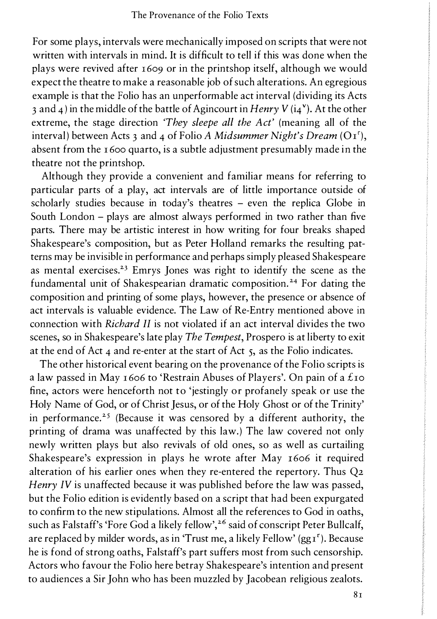For some plays, intervals were mechanically imposed on scripts that were not written with intervals in mind. It is difficult to tell if this was done when the plays were revived after  $1609$  or in the printshop itself, although we would expect the theatre to make a reasonable job of such alterations. An egregious example is that the Folio has an unperformable act interval (dividing its Acts 3 and 4) in the middle of the battle of Agincourt in Henry V ( $i_4$ <sup>v</sup>). At the other extreme, the stage direction *They sleepe all the Act'* (meaning all of the interval) between Acts 3 and 4 of Folio A Midsummer Night's Dream ( $O<sub>1</sub>$ ), absent from the 1 600 quarto, is a subtle adjustment presumably made in the theatre not the printshop.

Although they provide a convenient and familiar means for referring to particular parts of a play, act intervals are of little importance outside of scholarly studies because in today's theatres - even the replica Globe in South London - plays are almost always performed in two rather than five parts. There may be artistic interest in how writing for four breaks shaped Shakespeare's composition, but as Peter Holland remarks the resulting patterns may be invisible in performance and perhaps simply pleased Shakespeare as mental exercises.<sup>23</sup> Emrys Jones was right to identify the scene as the fundamental unit of Shakespearian dramatic composition.<sup>24</sup> For dating the composition and printing of some plays, however, the presence or absence of act intervals is valuable evidence. The Law of Re-Entry mentioned above in connection with Richard II is not violated if an act interval divides the two scenes, so in Shakespeare's late play *The Tempest*, Prospero is at liberty to exit at the end of Act 4 and re-enter at the start of Act 5, as the Folio indicates.

The other historical event bearing on the provenance of the Folio scripts is a law passed in May 1606 to 'Restrain Abuses of Players'. On pain of a £10 fine, actors were henceforth not to 'jestingly or profanely speak or use the Holy Name of God, or of Christ Jesus, or of the Holy Ghost or of the Trinity' in performance.<sup>25</sup> (Because it was censored by a different authority, the printing of drama was unaffected by this law.) The law covered not only newly written plays but also revivals of old ones, so as well as curtailing Shakespeare's expression in plays he wrote after May 1606 it required alteration of his earlier ones when they re-entered the repertory. Thus Q2 Henry IV is unaffected because it was published before the law was passed, but the Folio edition is evidently based on a script that had been expurgated to confirm to the new stipulations. Almost all the references to God in oaths, such as Falstaff's 'Fore God a likely fellow',<sup>26</sup> said of conscript Peter Bullcalf, are replaced by milder words, as in 'Trust me, a likely Fellow'  $(ggr<sup>r</sup>)$ . Because he is fond of strong oaths, Falstaff's part suffers most from such censorship. Actors who favour the Folio here betray Shakespeare's intention and present to audiences a Sir John who has been muzzled by Jacobean religious zealots.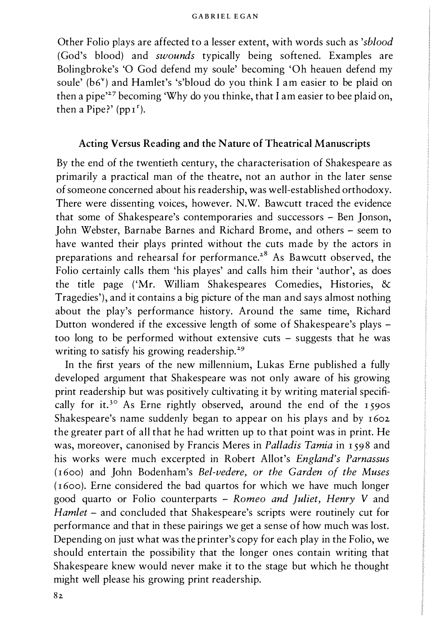Other Folio plays are affected to a lesser extent, with words such as 'sblood (God's blood) and swounds typically being softened. Examples are Bolingbroke's 'O God defend my soule' becoming 'Oh heauen defend my soule' ( $b6$ <sup>v</sup>) and Hamlet's 's'bloud do you think I am easier to be plaid on then a pipe<sup>227</sup> becoming 'Why do you thinke, that I am easier to bee plaid on, then a Pipe?'  $(pp_1^r)$ .

### Acting Versus Reading and the Nature of Theatrical Manuscripts

By the end of the twentieth century, the characterisation of Shakespeare as primarily a practical man of the theatre, not an author in the later sense of someone concerned about his readership, was well-established orthodoxy. There were dissenting voices, however. N.W. Bawcutt traced the evidence that some of Shakespeare's contemporaries and successors - Ben Jonson, John Webster, Barnabe Barnes and Richard Brome, and others - seem to have wanted their plays printed without the cuts made by the actors in preparations and rehearsal for performance.28 As Bawcutt observed, the Folio certainly calls them 'his playes' and calls him their 'author', as does the title page ( 'Mr. William Shakespeares Comedies, Histories, & Tragedies'), and it contains a big picture of the man and says almost nothing about the play's performance history. Around the same time, Richard Dutton wondered if the excessive length of some of Shakespeare's plays too long to be performed without extensive cuts - suggests that he was writing to satisfy his growing readership.<sup>29</sup>

In the first years of the new millennium, Lukas Erne published a fully developed argument that Shakespeare was not only aware of his growing print readership but was positively cultivating it by writing material specifically for it.<sup>30</sup> As Erne rightly observed, around the end of the 1590s Shakespeare's name suddenly began to appear on his plays and by 1602 the greater part of all that he had written up to that point was in print. He was, moreover, canonised by Francis Meres in Palladis Tamia in 1598 and his works were much excerpted in Robert Allot's England's Parnassus (1600) and John Bodenham's Bel-vedere, or the Garden of the Muses (1600). Erne considered the bad quartos for which we have much longer good quarto or Folio counterparts - Romeo and Juliet, Henry V and Hamlet - and concluded that Shakespeare's scripts were routinely cut for performance and that in these pairings we get a sense of how much was lost. Depending on just what was the printer's copy for each play in the Folio, we should entertain the possibility that the longer ones contain writing that Shakespeare knew would never make it to the stage but which he thought might well please his growing print readership.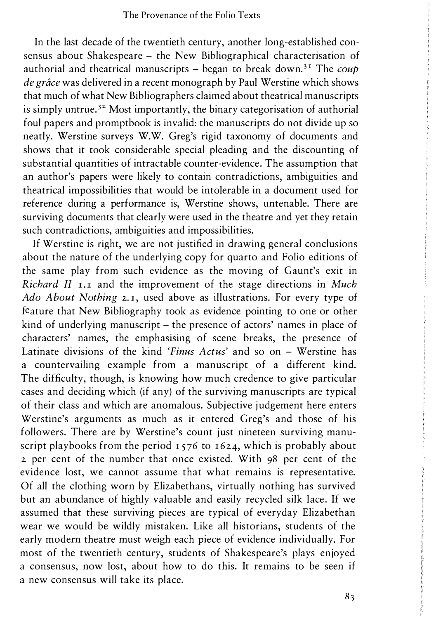In the last decade of the twentieth century, another long-established consensus about Shakespeare - the New Bibliographical characterisation of authorial and theatrical manuscripts - began to break down.<sup>31</sup> The coup de grâce was delivered in a recent monograph by Paul Werstine which shows that much of what New Bibliographers claimed about theatrical manuscripts is simply untrue.<sup>32</sup> Most importantly, the binary categorisation of authorial foul papers and promptbook is invalid: the manuscripts do not divide up so neatly. Werstine surveys W.W. Greg's rigid taxonomy of documents and shows that it took considerable special pleading and the discounting of substantial quantities of intractable counter-evidence. The assumption that an author's papers were likely to contain contradictions, ambiguities and theatrical impossibilities that would be intolerable in a document used for reference during a performance is, Werstine shows, untenable. There are surviving documents that clearly were used in the theatre and yet they retain such contradictions, ambiguities and impossibilities.

If Werstine is right, we are not justified in drawing general conclusions about the nature of the underlying copy for quarto and Folio editions of the same play from such evidence as the moving of Gaunt's exit in Richard II  $I$ ,  $I$  and the improvement of the stage directions in Much Ado About Nothing 2.1, used above as illustrations. For every type of feature that New Bibliography took as evidence pointing to one or other kind of underlying manuscript – the presence of actors' names in place of characters' names, the emphasising of scene breaks, the presence of Latinate divisions of the kind 'Finus Actus' and so on - Werstine has a countervailing example from a manuscript of a different kind. The difficulty, though, is knowing how much credence to give particular cases and deciding which (if any) of the surviving manuscripts are typical of their class and which are anomalous. Subjective judgement here enters Werstine's arguments as much as it entered Greg's and those of his followers. There are by Werstine's count just nineteen surviving manuscript playbooks from the period  $1576$  to  $1624$ , which is probably about 2 per cent of the number that once existed. With 98 per cent of the evidence lost, we cannot assume that what remains is representative. Of all the clothing worn by Elizabethans, virtually nothing has survived but an abundance of highly valuable and easily recycled silk lace. If we assumed that these surviving pieces are typical of everyday Elizabethan wear we would be wildly mistaken. Like all historians, students of the early modern theatre must weigh each piece of evidence individually. For most of the twentieth century, students of Shakespeare's plays enjoyed a consensus, now lost, about how to do this. It remains to be seen if a new consensus will take its place.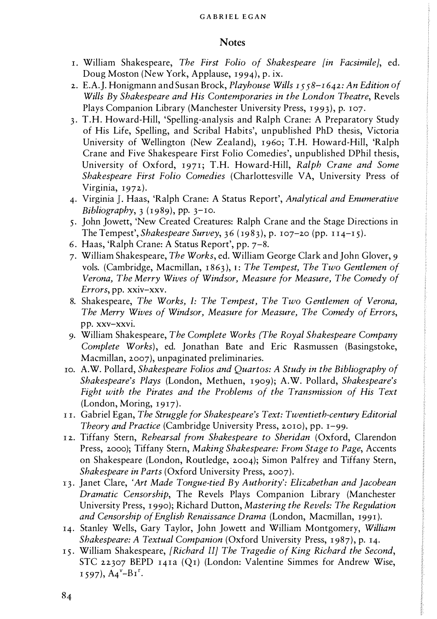#### GABRIEL EGAN

## **Notes**

- r. William Shakespeare, The First Folio of Shakespeare [in Facsimile], ed. Doug Moston (New York, Applause, 1994), p. ix.
- 2. E.A.J. Honigmann and Susan Brock, Playhouse Wills  $1558 1642$ : An Edition of Wills By Shakespeare and His Contemporaries in the London Theatre, Revels Plays Companion Library (Manchester University Press, 1993), p. 107.
- 3. T.H. Howard-Hill, 'Spelling-analysis and Ralph Crane: A Preparatory Study of His Life, Spelling, and Scribal Habits', unpublished PhD thesis, Victoria University of Wellington (New Zealand), 1960; T.H. Howard-Hill, 'Ralph Crane and Five Shakespeare First Folio Comedies', unpublished DPhil thesis, University of Oxford, 1971; T.H. Howard-Hill, Ralph Crane and Some Shakespeare First Folio Comedies (Charlottesville VA, University Press of Virginia, 1972).
- 4. Virginia J. Haas, 'Ralph Crane: A Status Report', Analytical and Enumerative Bibliography,  $3$  (1989), pp.  $3-10$ .
- 5. John Jowett, 'New Created Creatures: Ralph Crane and the Stage Directions in The Tempest', *Shakespeare Survey*,  $36 (1983)$ , p. 107-20 (pp. 114-15).
- 6. Haas, 'Ralph Crane: A Status Report', pp. 7-8.
- 7. William Shakespeare, The Works, ed. William George Clark and John Glover, 9 vols. (Cambridge, Macmillan,  $1863$ ), I: The Tempest, The Two Gentlemen of Verona, The Merry Wives of Windsor, Measure for Measure, The Comedy of Errors, pp. xxiv-xxv.
- 8. Shakespeare, The Works, I: The Tempest, The Two Gentlemen of Verona, The Merry Wives of Windsor, Measure for Measure, The Comedy of Errors, pp. xxv-xxvi.
- 9. William Shakespeare, The Complete Works (The Royal Shakespeare Company Complete Works), ed. Jonathan Bate and Eric Rasmussen (Basingstoke, Macmillan, 2007), unpaginated preliminaries.
- ro. A.W. Pollard, Shakespeare Folios and Quartos: A Study in the Bibliography of Shakespeare's Plays (London, Methuen, 1 909); A.W. Pollard, Shakespeare's Fight with the Pirates and the Problems of the Transmission of His Text (London, Moring, 1917).
- l r. Gabriel Egan, The Struggle for Shakespeare's Text: Twentieth-century Editorial Theory and Practice (Cambridge University Press, 2010), pp. 1-99.
- 12. Tiffany Stern, Rehearsal from Shakespeare to Sheridan (Oxford, Clarendon Press, 2000); Tiffany Stern, Making Shakespeare: From Stage to Page, Accents on Shakespeare (London, Routledge, 2004); Simon Palfrey and Tiffany Stern, Shakespeare in Parts (Oxford University Press, 2007).
- 13. Janet Clare, 'Art Made Tongue-tied By Authority': Elizabethan and Jacobean Dramatic Censorship, The Revels Plays Companion Library (Manchester University Press, I 990); Richard Dutton, Mastering the Revels: The Regulation and Censorship of English Renaissance Drama (London, Macmillan, 1991 ).
- 14. Stanley Wells, Gary Taylor, John Jowett and William Montgomery, William Shakespeare: A Textual Companion (Oxford University Press, 1987), p. 14.
- 15. William Shakespeare, [Richard II] The Tragedie of King Richard the Second, STC 22307 BEPD 141a (Q1) (London: Valentine Simmes for Andrew Wise,  $1597$ ,  $A4^{\nu}-B1^{\nu}$ .